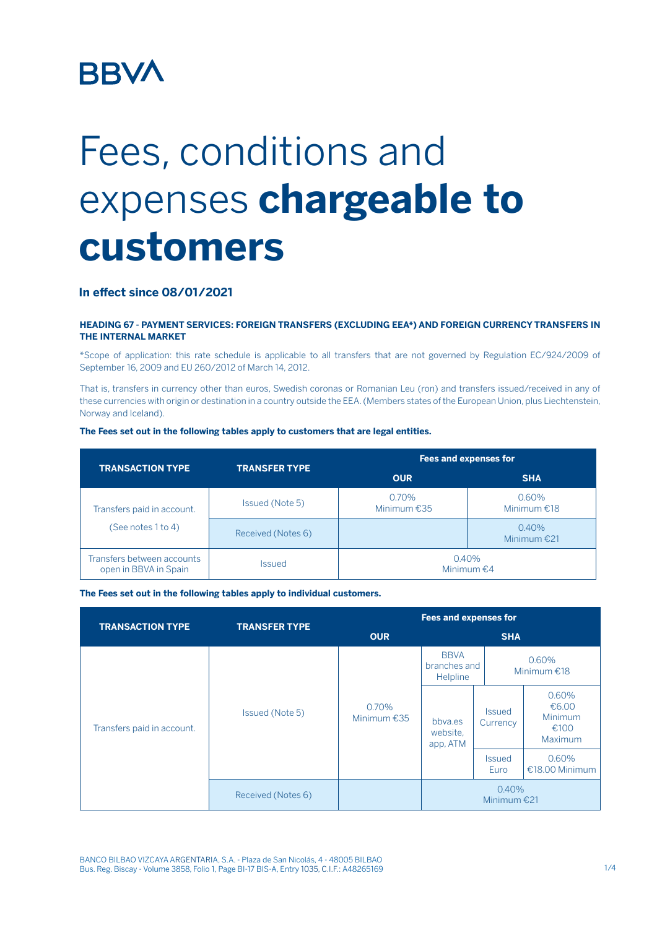## **BBVA**

# Fees, conditions and expenses **chargeable to customers**

### **In effect since 08/01/2021**

#### **HEADING 67 - PAYMENT SERVICES: FOREIGN TRANSFERS (EXCLUDING EEA\*) AND FOREIGN CURRENCY TRANSFERS IN THE INTERNAL MARKET**

\*Scope of application: this rate schedule is applicable to all transfers that are not governed by Regulation EC/924/2009 of September 16, 2009 and EU 260/2012 of March 14, 2012.

That is, transfers in currency other than euros, Swedish coronas or Romanian Leu (ron) and transfers issued/received in any of these currencies with origin or destination in a country outside the EEA. (Members states of the European Union, plus Liechtenstein, Norway and Iceland).

#### **The Fees set out in the following tables apply to customers that are legal entities.**

| <b>TRANSACTION TYPE</b>                             | <b>TRANSFER TYPE</b> | Fees and expenses for     |                           |  |
|-----------------------------------------------------|----------------------|---------------------------|---------------------------|--|
|                                                     |                      | <b>OUR</b>                | <b>SHA</b>                |  |
| Transfers paid in account.<br>(See notes 1 to 4)    | Issued (Note 5)      | $0.70\%$<br>Minimum $£35$ | $0.60\%$<br>Minimum $£18$ |  |
|                                                     | Received (Notes 6)   |                           | 0.40%<br>Minimum $£21$    |  |
| Transfers between accounts<br>open in BBVA in Spain | <b>Issued</b>        | 0.40%<br>Minimum $€4$     |                           |  |

**The Fees set out in the following tables apply to individual customers.**

| <b>TRANSACTION TYPE</b>    | <b>TRANSFER TYPE</b> | <b>Fees and expenses for</b> |                                         |                           |                                              |
|----------------------------|----------------------|------------------------------|-----------------------------------------|---------------------------|----------------------------------------------|
|                            |                      | <b>OUR</b>                   | <b>SHA</b>                              |                           |                                              |
| Transfers paid in account. | Issued (Note 5)      | 0.70%<br>Minimum $£35$       | <b>BBVA</b><br>branches and<br>Helpline | 0.60%<br>Minimum $£18$    |                                              |
|                            |                      |                              | bbya.es<br>website,<br>app, ATM         | <b>Issued</b><br>Currency | 0.60%<br>€6.00<br>Minimum<br>€100<br>Maximum |
|                            |                      |                              |                                         | <b>Issued</b><br>Euro     | 0.60%<br>€18.00 Minimum                      |
|                            | Received (Notes 6)   |                              | 0.40%<br>Minimum $£21$                  |                           |                                              |

BANCO BILBAO VIZCAYA ARGENTARIA, S.A. - Plaza de San Nicolás, 4 - 48005 BILBAO Bus. Reg. Biscay - Volume 3858, Folio 1, Page BI-17 BIS-A, Entry 1035, C.I.F.: A48265169 1/4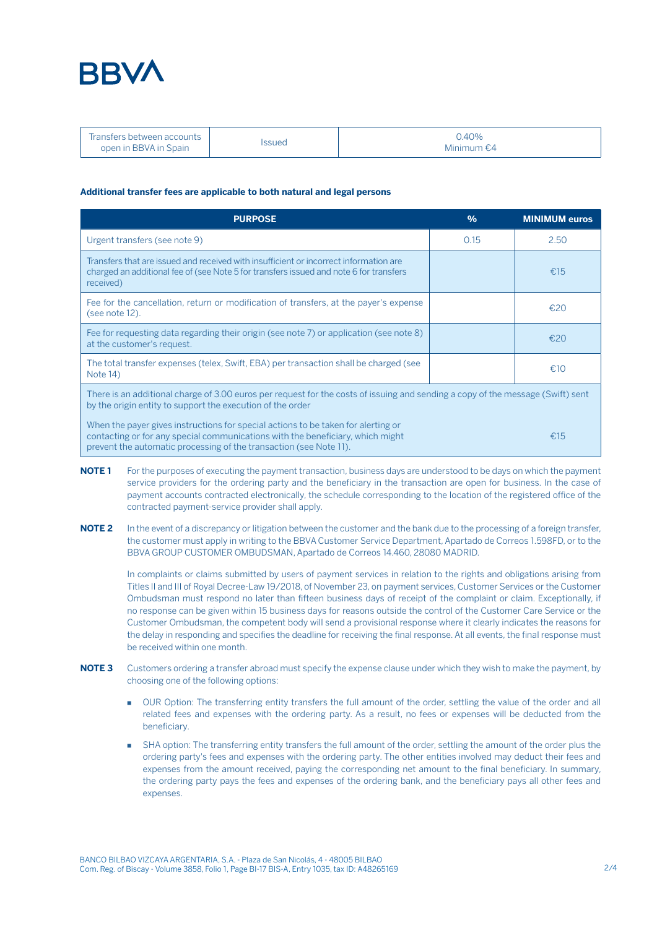

| - Transfers between accounts<br>open in BBVA in Spain | ssued | $0.40\%$<br>Minimum $\epsilon$ 4 |
|-------------------------------------------------------|-------|----------------------------------|
|-------------------------------------------------------|-------|----------------------------------|

#### **Additional transfer fees are applicable to both natural and legal persons**

| <b>PURPOSE</b>                                                                                                                                                                                                                            | $\frac{0}{0}$ | <b>MINIMUM euros</b> |  |  |
|-------------------------------------------------------------------------------------------------------------------------------------------------------------------------------------------------------------------------------------------|---------------|----------------------|--|--|
| Urgent transfers (see note 9)                                                                                                                                                                                                             | 0.15          | 2.50                 |  |  |
| Transfers that are issued and received with insufficient or incorrect information are<br>charged an additional fee of (see Note 5 for transfers issued and note 6 for transfers<br>received)                                              |               | €15                  |  |  |
| Fee for the cancellation, return or modification of transfers, at the payer's expense<br>(see note 12).                                                                                                                                   |               | £20                  |  |  |
| Fee for requesting data regarding their origin (see note 7) or application (see note 8)<br>at the customer's request.                                                                                                                     |               | €20                  |  |  |
| The total transfer expenses (telex, Swift, EBA) per transaction shall be charged (see<br>Note 14)                                                                                                                                         |               | £10                  |  |  |
| There is an additional charge of 3.00 euros per request for the costs of issuing and sending a copy of the message (Swift) sent<br>by the origin entity to support the execution of the order                                             |               |                      |  |  |
| When the payer gives instructions for special actions to be taken for alerting or<br>contacting or for any special communications with the beneficiary, which might<br>prevent the automatic processing of the transaction (see Note 11). |               | €15                  |  |  |

- **NOTE 1** For the purposes of executing the payment transaction, business days are understood to be days on which the payment service providers for the ordering party and the beneficiary in the transaction are open for business. In the case of payment accounts contracted electronically, the schedule corresponding to the location of the registered office of the contracted payment-service provider shall apply.
- **NOTE 2** In the event of a discrepancy or litigation between the customer and the bank due to the processing of a foreign transfer, the customer must apply in writing to the BBVA Customer Service Department, Apartado de Correos 1.598FD, or to the BBVA GROUP CUSTOMER OMBUDSMAN, Apartado de Correos 14.460, 28080 MADRID.

In complaints or claims submitted by users of payment services in relation to the rights and obligations arising from Titles II and III of Royal Decree-Law 19/2018, of November 23, on payment services, Customer Services or the Customer Ombudsman must respond no later than fifteen business days of receipt of the complaint or claim. Exceptionally, if no response can be given within 15 business days for reasons outside the control of the Customer Care Service or the Customer Ombudsman, the competent body will send a provisional response where it clearly indicates the reasons for the delay in responding and specifies the deadline for receiving the final response. At all events, the final response must be received within one month.

- **NOTE 3** Customers ordering a transfer abroad must specify the expense clause under which they wish to make the payment, by choosing one of the following options:
	- OUR Option: The transferring entity transfers the full amount of the order, settling the value of the order and all related fees and expenses with the ordering party. As a result, no fees or expenses will be deducted from the beneficiary.
	- SHA option: The transferring entity transfers the full amount of the order, settling the amount of the order plus the ordering party's fees and expenses with the ordering party. The other entities involved may deduct their fees and expenses from the amount received, paying the corresponding net amount to the final beneficiary. In summary, the ordering party pays the fees and expenses of the ordering bank, and the beneficiary pays all other fees and expenses.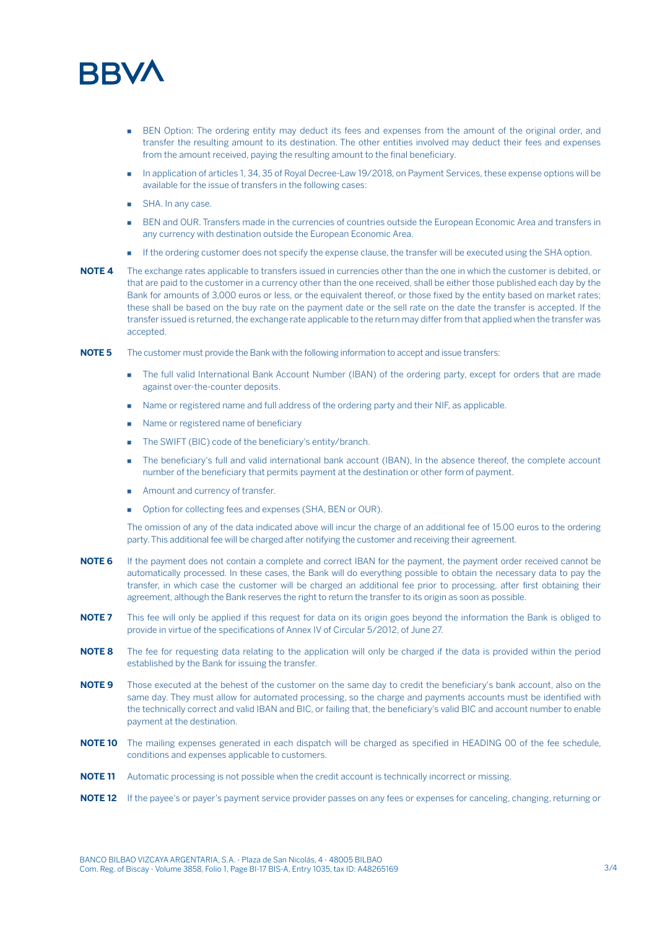

- BEN Option: The ordering entity may deduct its fees and expenses from the amount of the original order, and transfer the resulting amount to its destination. The other entities involved may deduct their fees and expenses from the amount received, paying the resulting amount to the final beneficiary.
- **In application of articles 1, 34, 35 of Royal Decree-Law 19/2018, on Payment Services, these expense options will be** available for the issue of transfers in the following cases:
- **E** SHA. In any case.
- BEN and OUR. Transfers made in the currencies of countries outside the European Economic Area and transfers in any currency with destination outside the European Economic Area.
- **If the ordering customer does not specify the expense clause, the transfer will be executed using the SHA option.**
- **NOTE 4** The exchange rates applicable to transfers issued in currencies other than the one in which the customer is debited, or that are paid to the customer in a currency other than the one received, shall be either those published each day by the Bank for amounts of 3,000 euros or less, or the equivalent thereof, or those fixed by the entity based on market rates; these shall be based on the buy rate on the payment date or the sell rate on the date the transfer is accepted. If the transfer issued is returned, the exchange rate applicable to the return may differ from that applied when the transfer was accepted.
- **NOTE 5** The customer must provide the Bank with the following information to accept and issue transfers:
	- **. The full valid International Bank Account Number (IBAN) of the ordering party, except for orders that are made** against over-the-counter deposits.
	- Name or registered name and full address of the ordering party and their NIF, as applicable.
	- Name or registered name of beneficiary
	- The SWIFT (BIC) code of the beneficiary's entity/branch.
	- The beneficiary's full and valid international bank account (IBAN), In the absence thereof, the complete account number of the beneficiary that permits payment at the destination or other form of payment.
	- Amount and currency of transfer.
	- **D** Option for collecting fees and expenses (SHA, BEN or OUR).

The omission of any of the data indicated above will incur the charge of an additional fee of 15.00 euros to the ordering party. This additional fee will be charged after notifying the customer and receiving their agreement.

- **NOTE 6** If the payment does not contain a complete and correct IBAN for the payment, the payment order received cannot be automatically processed. In these cases, the Bank will do everything possible to obtain the necessary data to pay the transfer, in which case the customer will be charged an additional fee prior to processing, after first obtaining their agreement, although the Bank reserves the right to return the transfer to its origin as soon as possible.
- **NOTE 7** This fee will only be applied if this request for data on its origin goes beyond the information the Bank is obliged to provide in virtue of the specifications of Annex IV of Circular 5/2012, of June 27.
- **NOTE 8** The fee for requesting data relating to the application will only be charged if the data is provided within the period established by the Bank for issuing the transfer.
- **NOTE 9** Those executed at the behest of the customer on the same day to credit the beneficiary's bank account, also on the same day. They must allow for automated processing, so the charge and payments accounts must be identified with the technically correct and valid IBAN and BIC, or failing that, the beneficiary's valid BIC and account number to enable payment at the destination.
- **NOTE 10** The mailing expenses generated in each dispatch will be charged as specified in HEADING 00 of the fee schedule, conditions and expenses applicable to customers.
- **NOTE 11** Automatic processing is not possible when the credit account is technically incorrect or missing.
- **NOTE 12** If the payee's or payer's payment service provider passes on any fees or expenses for canceling, changing, returning or